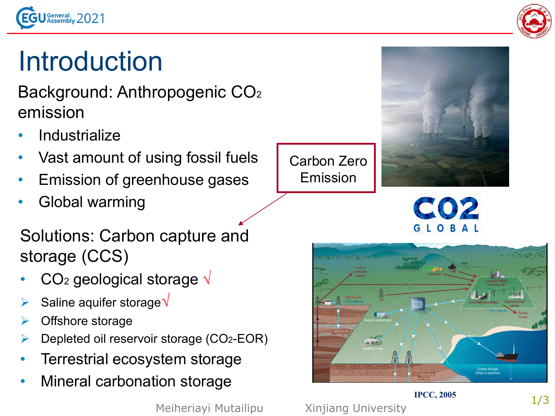



## Introduction

Background: Anthropogenic CO<sup>2</sup> emission

- **Industrialize**
- Vast amount of using fossil fuels
- Emission of greenhouse gases
- Global warming

Solutions: Carbon capture and storage (CCS)

- CO<sub>2</sub> geological storage  $\sqrt{ }$
- Saline aquifer storage V
- Offshore storage
- Depleted oil reservoir storage (CO2-EOR)
- Terrestrial ecosystem storage
- Mineral carbonation storage

Meiheriayi Mutailipu Xinjiang University





## **IPCC, 2005**

Carbon Zero

Emission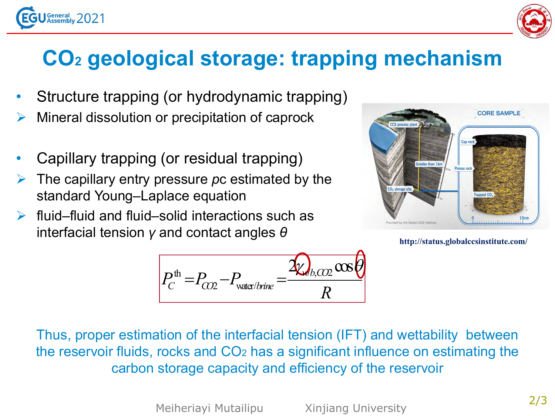



## **CO<sup>2</sup> geological storage: trapping mechanism**

- Structure trapping (or hydrodynamic trapping)
- Mineral dissolution or precipitation of caprock
- Capillary trapping (or residual trapping)
- The capillary entry pressure *pc* estimated by the standard Young–Laplace equation
- $\triangleright$  fluid–fluid and fluid–solid interactions such as interfacial tension *γ* and contact angles *θ*



**http://status.globalccsinstitute.com/**

$$
P_C^{\text{th}} = P_{CO2} - P_{\text{water/brine}} = \frac{2Q_{b,CO2} \cos\theta}{R}
$$

Thus, proper estimation of the interfacial tension (IFT) and wettability between the reservoir fluids, rocks and CO<sup>2</sup> has a significant influence on estimating the carbon storage capacity and efficiency of the reservoir